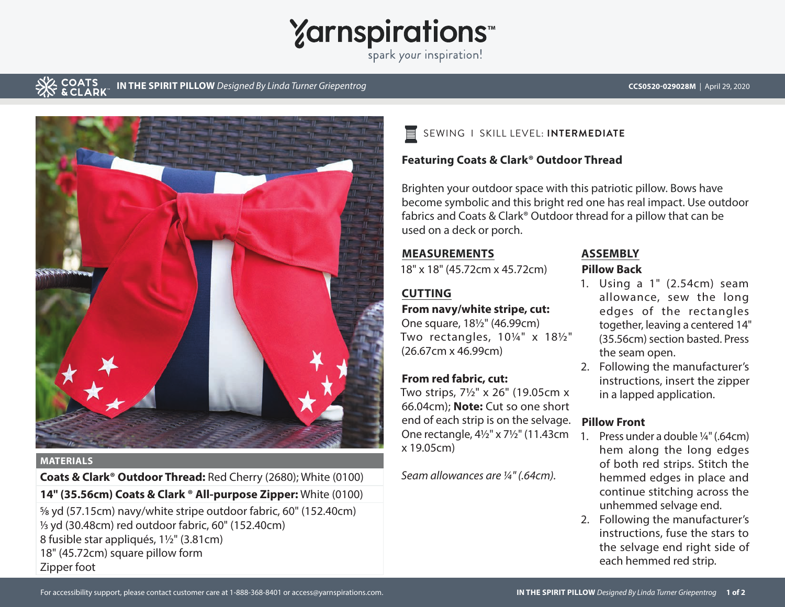# **Yarnspirations**

spark your inspiration!

#### **COATS IN THE SPIRIT PILLOW** *Designed By Linda Turner Griepentrog* **CCS0520-029028M** | April 29, 2020



**MATERIALS**

**Coats & Clark® Outdoor Thread:** Red Cherry (2680); White (0100) **14" (35.56cm) Coats & Clark ® All-purpose Zipper:** White (0100)

5/8 yd (57.15cm) navy/white stripe outdoor fabric, 60" (152.40cm) 1/3 yd (30.48cm) red outdoor fabric, 60" (152.40cm) 8 fusible star appliqués, 1½" (3.81cm) 18" (45.72cm) square pillow form Zipper foot



#### **Featuring Coats & Clark® Outdoor Thread**

Brighten your outdoor space with this patriotic pillow. Bows have become symbolic and this bright red one has real impact. Use outdoor fabrics and Coats & Clark® Outdoor thread for a pillow that can be used on a deck or porch.

#### **MEASUREMENTS**

18" x 18" (45.72cm x 45.72cm)

### **CUTTING**

#### **From navy/white stripe, cut:**

One square, 18½" (46.99cm) Two rectangles, 10¼" x 18½" (26.67cm x 46.99cm)

#### **From red fabric, cut:**

Two strips, 7½" x 26" (19.05cm x 66.04cm); **Note:** Cut so one short end of each strip is on the selvage. **Pillow Front** One rectangle, 4½" x 7½" (11.43cm x 19.05cm)

*Seam allowances are ¼" (.64cm).*

### **ASSEMBLY**

#### **Pillow Back**

- 1. Using a 1" (2.54cm) seam allowance, sew the long edges of the rectangles together, leaving a centered 14" (35.56cm) section basted. Press the seam open.
- 2. Following the manufacturer's instructions, insert the zipper in a lapped application.

- 1. Press under a double ¼" (.64cm) hem along the long edges of both red strips. Stitch the hemmed edges in place and continue stitching across the unhemmed selvage end.
- 2. Following the manufacturer's instructions, fuse the stars to the selvage end right side of each hemmed red strip.